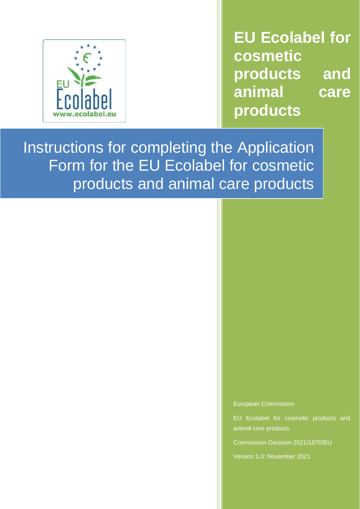

**EU Ecolabel for cosmetic products and animal care products**

Instructions for completing the Application Form for the EU Ecolabel for cosmetic products and animal care products

European Commission

EU Ecolabel for cosmetic products and animal care products

Commission Decision 2021/1870/EU

Version 1.0: November 2021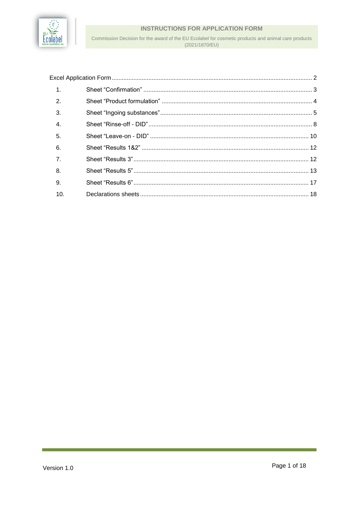

Commission Decision for the award of the EU Ecolabel for cosmetic products and animal care products (2021/1870/EU)

| 1.             |  |
|----------------|--|
| 2              |  |
| 3.             |  |
| $\overline{4}$ |  |
| 5.             |  |
| 6.             |  |
| $\overline{7}$ |  |
| 8.             |  |
| 9.             |  |
| 10.            |  |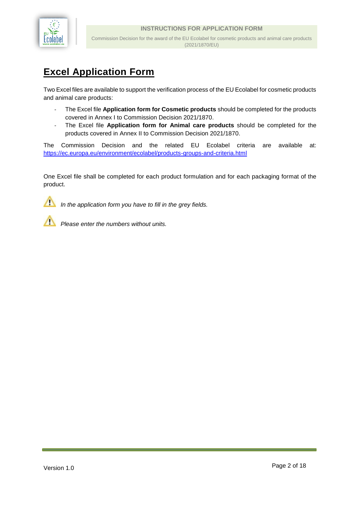

# <span id="page-2-0"></span>**Excel Application Form**

Two Excel files are available to support the verification process of the EU Ecolabel for cosmetic products and animal care products:

- *-* The Excel file **Application form for Cosmetic products** should be completed for the products covered in Annex I to Commission Decision 2021/1870.
- *-* The Excel file **Application form for Animal care products** should be completed for the products covered in Annex II to Commission Decision 2021/1870.

The Commission Decision and the related EU Ecolabel criteria are available at: <https://ec.europa.eu/environment/ecolabel/products-groups-and-criteria.html>

One Excel file shall be completed for each product formulation and for each packaging format of the product.



*In the application form you have to fill in the grey fields.* 



*Please enter the numbers without units.*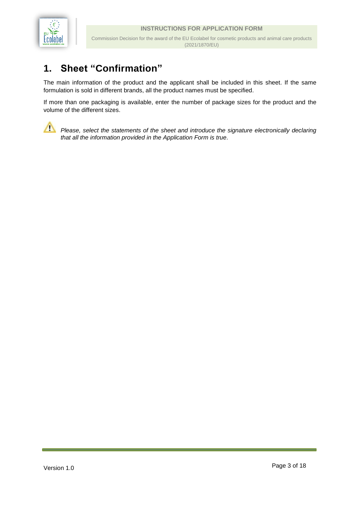

## <span id="page-3-0"></span>**1. Sheet "Confirmation"**

The main information of the product and the applicant shall be included in this sheet. If the same formulation is sold in different brands, all the product names must be specified.

If more than one packaging is available, enter the number of package sizes for the product and the volume of the different sizes.



Please, select the statements of the sheet and introduce the signature electronically declaring *that all the information provided in the Application Form is true.*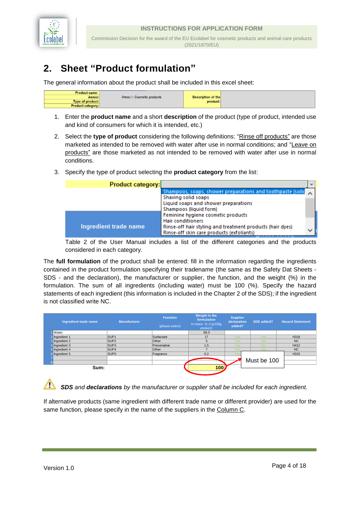

(2021/1870/EU)

# <span id="page-4-0"></span>**2. Sheet "Product formulation"**

The general information about the product shall be included in this excel sheet:

| <b>Product name:</b>     |                                                                                                               |                           |  |
|--------------------------|---------------------------------------------------------------------------------------------------------------|---------------------------|--|
| Annex:                   | Annex I: Cosmetic products                                                                                    | <b>Description of the</b> |  |
| <b>Type of product:</b>  | the second control of the second control of the second control of the second control of the second control of | product:                  |  |
| <b>Product category:</b> |                                                                                                               |                           |  |

- 1. Enter the **product name** and a short **description** of the product (type of product, intended use and kind of consumers for which it is intended, etc.)
- 2. Select the **type of product** considering the following definitions: "Rinse off products" are those marketed as intended to be removed with water after use in normal conditions; and "Leave on products" are those marketed as not intended to be removed with water after use in normal conditions.
- 3. Specify the type of product selecting the **product category** from the list:

| <b>Product category:</b> |                                                                                                        |   |
|--------------------------|--------------------------------------------------------------------------------------------------------|---|
|                          | Shampoos, soaps, shower preparations and toothpaste (solic<br>Shaving solid soaps                      |   |
|                          | Liquid soaps and shower preparations<br>Shampoos (liquid form)                                         |   |
|                          | Feminine hygiene cosmetic products<br><b>Hair conditioners</b>                                         |   |
| Ingredient trade name    | Rinse-off hair styling and treatment products (hair dyes)<br>Rinse-off skin care products (exfoliants) | v |

Table 2 of the User Manual includes a list of the different categories and the products considered in each category.

The **full formulation** of the product shall be entered: fill in the information regarding the ingredients contained in the product formulation specifying their tradename (the same as the Safety Dat Sheets - SDS - and the declaration), the manufacturer or supplier, the function, and the weight (%) in the formulation. The sum of all ingredients (including water) must be 100 (%). Specify the hazard statements of each ingredient (this information is included in the Chapter 2 of the SDS); if the ingredient is not classified write NC.

| Ingredient trade name | <b>Manufacturer</b> | <b>Function</b><br>(please select) | Weight in the<br>formulation<br>in mass- $% (=g/100g)$<br>product) | <b>Supplier</b><br>declaration<br>added? | SDS added?  | <b>Hazard Statement</b> |
|-----------------------|---------------------|------------------------------------|--------------------------------------------------------------------|------------------------------------------|-------------|-------------------------|
| <b>Water</b>          |                     |                                    | 69,3                                                               |                                          |             |                         |
| 2 Ingredient 1        | SUP <sub>1</sub>    | Surfactant                         | 17                                                                 | Yes                                      | <b>Yes</b>  | H318                    |
| 3 Ingredient 2        | SUP <sub>2</sub>    | Other                              | 5                                                                  | Yes                                      | <b>Yes</b>  | <b>NC</b>               |
| Ingredient 3          | SUP <sub>3</sub>    | Preservative                       | 1,5                                                                | <b>Yes</b>                               | <b>Yes</b>  | H412                    |
| 5 Ingredient 4        | SUP4                | Other                              |                                                                    | Yes                                      | <b>Yes</b>  | N <sub>C</sub>          |
| 6 Ingredient 5        | SUP <sub>5</sub>    | Fragrance                          | 0,2                                                                |                                          |             | H315                    |
|                       |                     |                                    |                                                                    |                                          |             |                         |
|                       |                     |                                    |                                                                    |                                          | Must be 100 |                         |
| Sum:                  |                     |                                    | 100                                                                |                                          |             |                         |

**SDS** and **declarations** by the manufacturer or supplier shall be included for each ingredient.

If alternative products (same ingredient with different trade name or different provider) are used for the same function, please specify in the name of the suppliers in the Column C.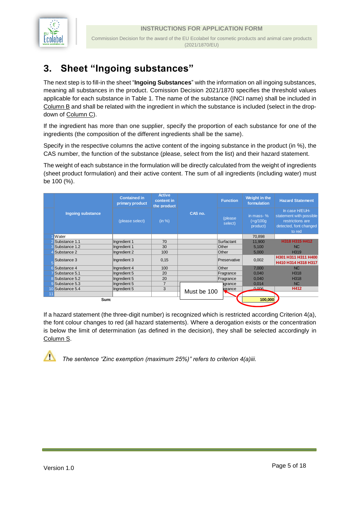

## <span id="page-5-0"></span>**3. Sheet "Ingoing substances"**

The next step is to fill-in the sheet "**Ingoing Substances**" with the information on all ingoing substances, meaning all substances in the product. Comission Decision 2021/1870 specifies the threshold values applicable for each substance in Table 1. The name of the substance (INCI name) shall be included in Column B and shall be related with the ingredient in which the substance is included (select in the dropdown of Column C).

If the ingredient has more than one supplier, specify the proportion of each substance for one of the ingredients (the composition of the different ingredients shall be the same).

Specify in the respective columns the active content of the ingoing substance in the product (in %), the CAS number, the function of the substance (please, select from the list) and their hazard statement.

The weight of each substance in the formulation will be directly calculated from the weight of ingredients (sheet product formulation) and their active content. The sum of all ingredients (including water) must be 100 (%).

|       |                      | <b>Contained in</b><br>primary product | <b>Active</b><br>content in<br>the product |             | <b>Function</b>    | Weight in the<br>formulation           | <b>Hazard Statement</b>                                                                           |
|-------|----------------------|----------------------------------------|--------------------------------------------|-------------|--------------------|----------------------------------------|---------------------------------------------------------------------------------------------------|
|       | Ingoing substance    | (please select)                        | (in %)                                     | CAS no.     | (please<br>select) | in mass-%<br>$( = g/100g)$<br>product) | In case H/EUH-<br>statement with possible<br>restrictions are<br>detected, font changed<br>to red |
|       | <b>Water</b>         |                                        |                                            |             |                    | 70,898                                 |                                                                                                   |
|       | 2 Substance 1.1      | Ingredient 1                           | 70                                         |             | Surfactant         | 11,900                                 | H318 H315 H412                                                                                    |
|       | 3 Substance 1.2      | Ingredient 1                           | 30                                         |             | Other              | 5,100                                  | NC                                                                                                |
|       | 4 Substance 2        | Ingredient 2                           | 100                                        |             | Other              | 5,000                                  | H319                                                                                              |
|       | Substance 3          | Ingredient 3                           | 0,15                                       |             | Preservative       | 0,002                                  | H301 H311 H311 H400<br>H410 H314 H318 H317                                                        |
|       | <b>6</b> Substance 4 | Ingredient 4                           | 100                                        |             | Other              | 7,000                                  | N <sub>C</sub>                                                                                    |
|       | Substance 5.1        | Ingredient 5                           | 20                                         |             | Fragrance          | 0,040                                  | H318                                                                                              |
|       | 8 Substance 5.2      | Ingredient 5                           | 20                                         |             | Fragrance          | 0,040                                  | H318                                                                                              |
|       | Substance 5.3        | Ingredient 5                           | $\overline{ }$                             |             | agrance            | 0,014                                  | N <sub>C</sub>                                                                                    |
|       | 10 Substance 5.4     | Ingredient 5                           | 3                                          |             | arance             | 0.006                                  | H412                                                                                              |
| $-11$ | Sum:                 |                                        |                                            | Must be 100 |                    | 100,000                                |                                                                                                   |

If a hazard statement (the three-digit number) is recognized which is restricted according Criterion 4(a), the font colour changes to red (all hazard statements). Where a derogation exists or the concentration is below the limit of determination (as defined in the decision), they shall be selected accordingly in Column S.

/∖

*The sentence "Zinc exemption (maximum 25%)" refers to criterion 4(a)iii.*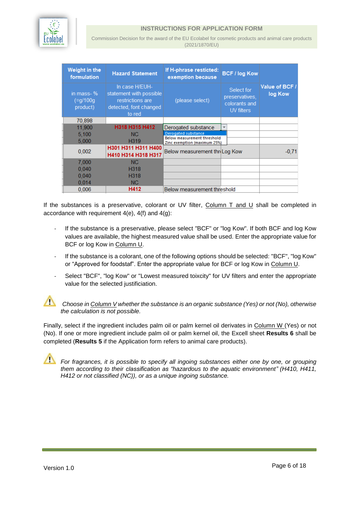

Commission Decision for the award of the EU Ecolabel for cosmetic products and animal care products (2021/1870/EU)

| Weight in the<br>formulation       | <b>Hazard Statement</b>                                                                           | If H-phrase resticted:<br>exemption because                 | <b>BCF / log Kow</b>                                        |                           |
|------------------------------------|---------------------------------------------------------------------------------------------------|-------------------------------------------------------------|-------------------------------------------------------------|---------------------------|
| in mass- %<br>(=g/100g<br>product) | In case H/EUH-<br>statement with possible<br>restrictions are<br>detected, font changed<br>to red | (please select)                                             | Select for<br>preservatives,<br>colorants and<br>UV filters | Value of BCF /<br>log Kow |
| 70,898                             |                                                                                                   |                                                             |                                                             |                           |
| 11,900                             | H318 H315 H412                                                                                    | Derogated substance                                         | v                                                           |                           |
| 5,100                              | NC.                                                                                               | Derogated substance                                         |                                                             |                           |
| 5,000                              | H <sub>3</sub> 19                                                                                 | Below measurement threshold<br>Zinc exemption (maximum 25%) |                                                             |                           |
| 0,002                              | H301 H311 H311 H400<br>H410 H314 H318 H317                                                        | Below measurement thr Log Kow                               |                                                             | $-0.71$                   |
| 7,000                              | NC.                                                                                               |                                                             |                                                             |                           |
| 0,040                              | H <sub>318</sub>                                                                                  |                                                             |                                                             |                           |
| 0,040                              | H <sub>318</sub>                                                                                  |                                                             |                                                             |                           |
| 0,014                              | NC.                                                                                               |                                                             |                                                             |                           |
| 0.006                              | H412                                                                                              | Below measurement threshold                                 |                                                             |                           |

If the substances is a preservative, colorant or UV filter, Column T and U shall be completed in accordance with requirement 4(e), 4(f) and 4(g):

- *-* If the substance is a preservative, please select "BCF" or "log Kow". If both BCF and log Kow values are available, the highest measured value shall be used. Enter the appropriate value for BCF or log Kow in Column U.
- *-* If the substance is a colorant, one of the following options should be selected: "BCF", "log Kow" or "Approved for foodstaf". Enter the appropriate value for BCF or log Kow in Column U.
- Select "BCF", "log Kow" or "Lowest measured toixcity" for UV filters and enter the appropriate value for the selected justificiation.



*Choose in Column V whether the substance is an organic substance (Yes) or not (No), otherwise the calculation is not possible.*

Finally, select if the ingredient includes palm oil or palm kernel oil derivates in Column W (Yes) or not (No). If one or more ingredient include palm oil or palm kernel oil, the Excell sheet **Results 6** shall be completed (**Results 5** if the Application form refers to animal care products).

*For fragrances, it is possible to specify all ingoing substances either one by one, or grouping them according to their classification as "hazardous to the aquatic environment" (H410, H411, H412 or not classified (NC)), or as a unique ingoing substance.*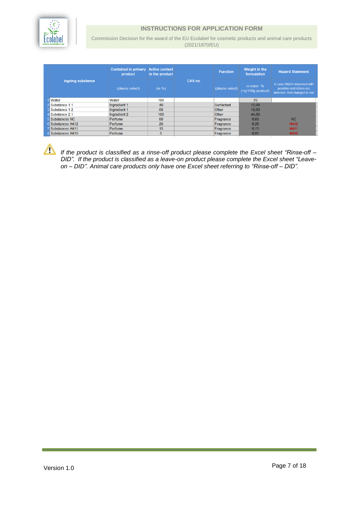

Commission Decision for the award of the EU Ecolabel for cosmetic products and animal care products (2021/1870/EU)

|                   | <b>Contained in primary</b><br>product | <b>Active content</b><br>in the product |         | <b>Function</b> | Weight in the<br>formulation        | <b>Hazard Statement</b>                                                                    |
|-------------------|----------------------------------------|-----------------------------------------|---------|-----------------|-------------------------------------|--------------------------------------------------------------------------------------------|
| Ingoing substance | (please select)                        | (in %)                                  | CAS no. | (please select) | in mass- $%$<br>$(=q/100q$ product) | In case H/EUH-statement with<br>possible restrictions are<br>detected, font changed to red |
| <b>Water</b>      | Water                                  | 100                                     |         |                 | 25                                  |                                                                                            |
| Substance 1.1     | Ingredient 1                           | 40                                      |         | Surfactant      | 12,00                               |                                                                                            |
| Substance 1.2     | Ingredient 1                           | 60                                      |         | Other           | 18,00                               |                                                                                            |
| Substance 2.1     | Ingredient 2                           | 100                                     |         | Other           | 44,00                               |                                                                                            |
| Substances NC     | Perfume                                | 60                                      |         | Fragrance       | 0,60                                | NC                                                                                         |
| Substances H412   | Perfume                                | 20                                      |         | Fragrance       | 0.20                                | H412                                                                                       |
| Substances H411   | Perfume                                | 15                                      |         | Fragrance       | 0.15                                | <b>H411</b>                                                                                |
| 8 Substances H410 | Perfume                                | 5                                       |         | Fragrance       | 0.05                                | <b>H410</b>                                                                                |

*If the product is classified as a rinse-off product please complete the Excel sheet "Rinse-off – DID". If the product is classified as a leave-on product please complete the Excel sheet "Leaveon – DID". Animal care products only have one Excel sheet referring to "Rinse-off – DID".*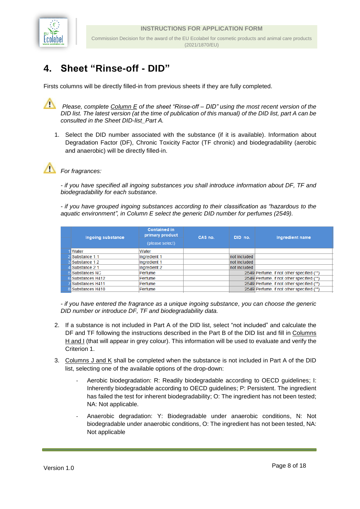

## <span id="page-8-0"></span>**4. Sheet "Rinse-off - DID"**

Firsts columns will be directly filled-in from previous sheets if they are fully completed.

∧ *Please, complete Column E of the sheet "Rinse-off – DID" using the most recent version of the DID list. The latest version (at the time of publication of this manual) of the DID list, part A can be consulted in the Sheet DID-list\_Part A.* 

1. Select the DID number associated with the substance (if it is available). Information about Degradation Factor (DF), Chronic Toxicity Factor (TF chronic) and biodegradability (aerobic and anaerobic) will be directly filled-in.



*For fragrances:*

*- if you have specified all ingoing substances you shall introduce information about DF, TF and biodegradability for each substance.*

*- if you have grouped ingoing substances according to their classification as "hazardous to the aquatic environment", in Column E select the generic DID number for perfumes (2549).*

| Ingoing substance      | <b>Contained in</b><br>primary product<br>(please select) | CAS no. | DID no.      | Ingredient name                           |
|------------------------|-----------------------------------------------------------|---------|--------------|-------------------------------------------|
| <b>Water</b>           | Water                                                     |         |              |                                           |
| Substance 1.1          | Ingredient 1                                              |         | not included |                                           |
| <b>3</b> Substance 1.2 | Ingredient 1                                              |         | not included |                                           |
| Substance 2.1          | Ingredient 2                                              |         | not included |                                           |
| 5 Substances NC        | Perfume                                                   |         |              | 2549 Perfume, if not other specified (**) |
| 6 Substances H412      | Perfume                                                   |         |              | 2549 Perfume, if not other specified (**) |
| Substances H411        | <b>Perfume</b>                                            |         |              | 2549 Perfume, if not other specified (**) |
| 8 Substances H410      | Perfume                                                   |         |              | 2549 Perfume, if not other specified (**) |
|                        |                                                           |         |              |                                           |

*- if you have entered the fragrance as a unique ingoing substance, you can choose the generic DID number or introduce DF, TF and biodegradability data.*

- 2. If a substance is not included in Part A of the DID list, select "not included" and calculate the DF and TF following the instructions described in the Part B of the DID list and fill in Columns H and I (that will appear in grey colour). This information will be used to evaluate and verify the Criterion 1.
- 3. Columns J and K shall be completed when the substance is not included in Part A of the DID list, selecting one of the available options of the drop-down:
	- Aerobic biodegradation: R: Readily biodegradable according to OECD guidelines; I: Inherently biodegradable according to OECD guidelines; P: Persistent. The ingredient has failed the test for inherent biodegradability; O: The ingredient has not been tested; NA: Not applicable.
	- Anaerobic degradation: Y: Biodegradable under anaerobic conditions, N: Not biodegradable under anaerobic conditions, O: The ingredient has not been tested, NA: Not applicable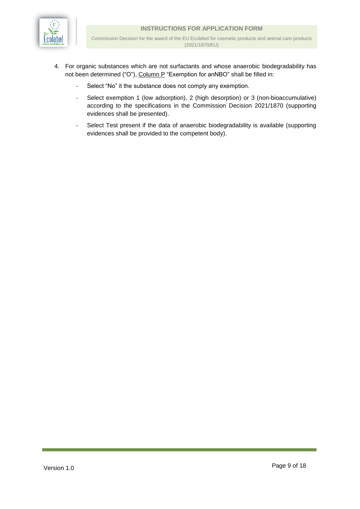

- 4. For organic substances which are not surfactants and whose anaerobic biodegradability has not been determined ("O"), Column P "Exemption for anNBO" shall be filled in:
	- Select "No" it the substance does not comply any exemption.
	- Select exemption 1 (low adsorption), 2 (high desorption) or 3 (non-bioaccumulative) according to the specifications in the Commission Decision 2021/1870 (supporting evidences shall be presented).
	- Select Test present if the data of anaerobic biodegradability is available (supporting evidences shall be provided to the competent body).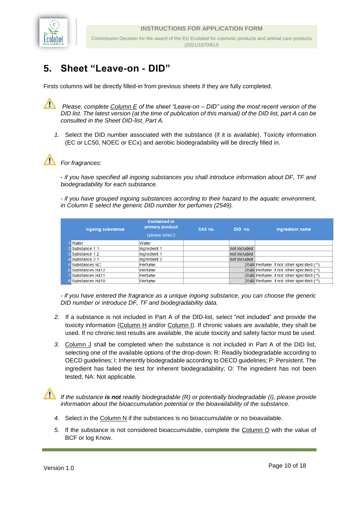

## <span id="page-10-0"></span>**5. Sheet "Leave-on - DID"**

Firsts columns will be directly filled-in from previous sheets if they are fully completed.

∧ *Please, complete Column E of the sheet "Leave-on – DID" using the most recent version of the DID list. The latest version (at the time of publication of this manual) of the DID list, part A can be consulted in the Sheet DID-list\_Part A.* 

*1.* Select the DID number associated with the substance (if it is available). Toxicity information (EC or LC50, NOEC or ECx) and aerobic biodegradability will be directly filled in.



#### *For fragrances:*

*- if you have specified all ingoing substances you shall introduce information about DF, TF and biodegradability for each substance.*

*- if you have grouped ingoing substances according to their hazard to the aquatic environment, in Column E select the generic DID number for perfumes (2549).* 

| Ingoing substance | <b>Contained in</b><br>primary product<br>(please select) | CAS no. | DID no.      | Ingredient name                           |
|-------------------|-----------------------------------------------------------|---------|--------------|-------------------------------------------|
| <b>Water</b>      | Water                                                     |         |              |                                           |
| 2 Substance 1.1   | Ingredient 1                                              |         | not included |                                           |
| 3 Substance 1.2   | Ingredient 1                                              |         | not included |                                           |
| Substance 2.1     | Ingredient 2                                              |         | not included |                                           |
| 5 Substances NC   | Perfume                                                   |         |              | 2549 Perfume, if not other specified (**) |
| 6 Substances H412 | Perfume                                                   |         |              | 2549 Perfume, if not other specified (**) |
| Substances H411   | Perfume                                                   |         |              | 2549 Perfume, if not other specified (**) |
| 8 Substances H410 | Perfume                                                   |         |              | 2549 Perfume, if not other specified (**) |

*- if you have entered the fragrance as a unique ingoing substance, you can choose the generic DID number or introduce DF, TF and biodegradability data.* 

- *2.* If a substance is not included in Part A of the DID-list, select "not included" and provide the toxicity information (Column H and/or Column I). If chronic values are available, they shall be used. If no chronic test results are available, the acute toxicity and safety factor must be used.
- *3.* Column J shall be completed when the substance is not included in Part A of the DID list, selecting one of the available options of the drop-down: R: Readily biodegradable according to OECD guidelines; I: Inherently biodegradable according to OECD guidelines; P: Persistent. The ingredient has failed the test for inherent biodegradability; O: The ingredient has not been tested; NA: Not applicable.

*If the substance is not readily biodegradable (R) or potentially biodegradable (I), please provide information about the bioaccumulation potential or the bioavailability of the substance.* 

- 4. Select in the Column N if the substances is no bioaccumulable or no bioavailable.
- *5.* If the substance is not considered bioaccumulable, complete the Column O with the value of BCF or log Know.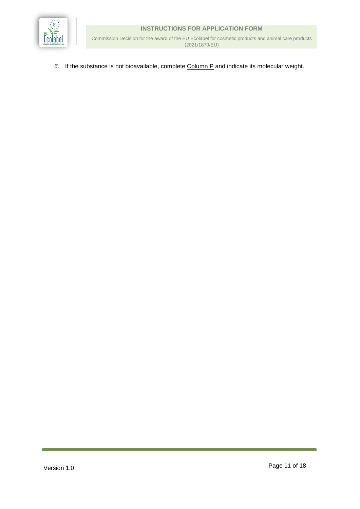

Commission Decision for the award of the EU Ecolabel for cosmetic products and animal care products (2021/1870/EU)

*6.* If the substance is not bioavailable, complete Column P and indicate its molecular weight.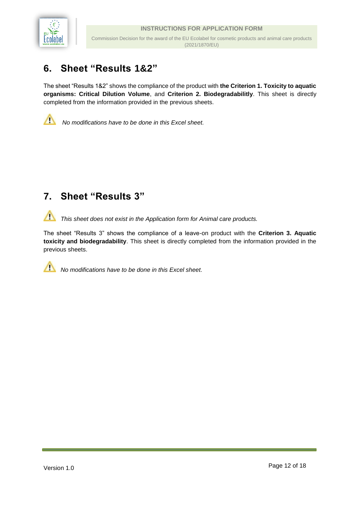

## <span id="page-12-0"></span>**6. Sheet "Results 1&2"**

The sheet "Results 1&2" shows the compliance of the product with **the Criterion 1. Toxicity to aquatic organisms: Critical Dilution Volume**, and **Criterion 2. Biodegradabilitly**. This sheet is directly completed from the information provided in the previous sheets.



*No modifications have to be done in this Excel sheet.* 

### <span id="page-12-1"></span>**7. Sheet "Results 3"**

╱╲ *This sheet does not exist in the Application form for Animal care products.*

The sheet "Results 3" shows the compliance of a leave-on product with the **Criterion 3. Aquatic toxicity and biodegradability**. This sheet is directly completed from the information provided in the previous sheets.

*No modifications have to be done in this Excel sheet.*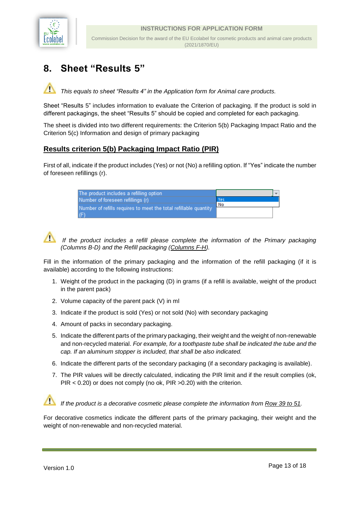

# <span id="page-13-0"></span>**8. Sheet "Results 5"**

*This equals to sheet "Results 4" in the Application form for Animal care products.*

Sheet "Results 5" includes information to evaluate the Criterion of packaging. If the product is sold in different packagings, the sheet "Results 5" should be copied and completed for each packaging.

The sheet is divided into two different requirements: the Criterion 5(b) Packaging Impact Ratio and the Criterion 5(c) Information and design of primary packaging

#### **Results criterion 5(b) Packaging Impact Ratio (PIR)**

First of all, indicate if the product includes (Yes) or not (No) a refilling option. If "Yes" indicate the number of foreseen refillings (r).

| The product includes a refilling option                          |     |  |
|------------------------------------------------------------------|-----|--|
| Number of foreseen refillings (r)                                | Yes |  |
| Number of refills requires to meet the total refillable quantity | No  |  |
| (F)                                                              |     |  |



*If the product includes a refill please complete the information of the Primary packaging (Columns B-D) and the Refill packaging (Columns F-H).* 

Fill in the information of the primary packaging and the information of the refill packaging (if it is available) according to the following instructions:

- 1. Weight of the product in the packaging (D) in grams (if a refill is available, weight of the product in the parent pack)
- 2. Volume capacity of the parent pack (V) in ml
- 3. Indicate if the product is sold (Yes) or not sold (No) with secondary packaging
- 4. Amount of packs in secondary packaging.
- 5. Indicate the different parts of the primary packaging, their weight and the weight of non-renewable and non-recycled material. *For example, for a toothpaste tube shall be indicated the tube and the cap. If an aluminum stopper is included, that shall be also indicated.*
- 6. Indicate the different parts of the secondary packaging (if a secondary packaging is available).
- 7. The PIR values will be directly calculated, indicating the PIR limit and if the result complies (ok, PIR < 0.20) or does not comply (no ok, PIR >0.20) with the criterion.

*If the product is a decorative cosmetic please complete the information from Row 39 to 51.* 

For decorative cosmetics indicate the different parts of the primary packaging, their weight and the weight of non-renewable and non-recycled material.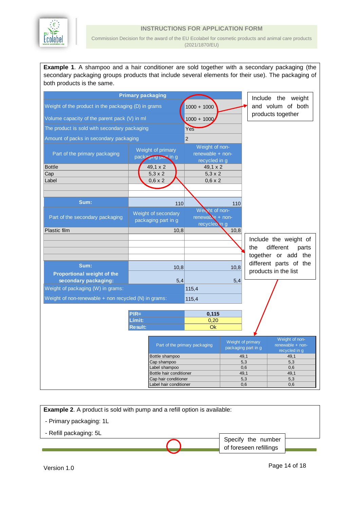

Commission Decision for the award of the EU Ecolabel for cosmetic products and animal care products (2021/1870/EU)

**Example 1**. A shampoo and a hair conditioner are sold together with a secondary packaging (the secondary packaging groups products that include several elements for their use). The packaging of both products is the same.

|                                                           | <b>Primary packaging</b>                 |                                                     |      |                                          | Include the weight                                  |
|-----------------------------------------------------------|------------------------------------------|-----------------------------------------------------|------|------------------------------------------|-----------------------------------------------------|
| Weight of the product in the packaging (D) in grams       | $1000 + 1000$                            |                                                     |      | and volum of both                        |                                                     |
| Volume capacity of the parent pack (V) in ml              | $1000 + 1000$                            |                                                     |      | products together                        |                                                     |
| The product is sold with secondary packaging              |                                          | Yes                                                 |      |                                          |                                                     |
| Amount of packs in secondary packaging                    |                                          | $\overline{2}$                                      |      |                                          |                                                     |
| Part of the primary packaging                             | Weight of primary<br>pack and part in g  | Weight of non-<br>renewable + non-<br>recycled in g |      |                                          |                                                     |
| <b>Bottle</b>                                             | 49.1 x 2                                 | 49.1 x 2                                            |      |                                          |                                                     |
| Cap                                                       | $5,3 \times 2$                           | $5.3 \times 2$                                      |      |                                          |                                                     |
| Label                                                     | $0,6 \times 2$                           | $0.6 \times 2$                                      |      |                                          |                                                     |
|                                                           |                                          |                                                     |      |                                          |                                                     |
| Sum:                                                      | 110                                      |                                                     | 110  |                                          |                                                     |
|                                                           |                                          | Weight of non-                                      |      |                                          |                                                     |
| Part of the secondary packaging                           | Weight of secondary                      | renewable + non-                                    |      |                                          |                                                     |
|                                                           | packaging part in g                      | recycled in g                                       |      |                                          |                                                     |
| <b>Plastic film</b>                                       | 10,8                                     |                                                     | 10,8 |                                          |                                                     |
|                                                           |                                          |                                                     |      |                                          | Include the weight of                               |
|                                                           |                                          |                                                     |      | the                                      | different<br>parts                                  |
|                                                           |                                          |                                                     |      |                                          | together or add the                                 |
|                                                           |                                          |                                                     |      |                                          | different parts of the                              |
| Sum:                                                      | 10,8                                     |                                                     | 10,8 |                                          | products in the list                                |
| <b>Proportional weight of the</b><br>secondary packaging: | 5,4                                      |                                                     | 5,4  |                                          |                                                     |
| Weight of packaging (W) in grams:                         |                                          | 115,4                                               |      |                                          |                                                     |
|                                                           |                                          |                                                     |      |                                          |                                                     |
| Weight of non-renewable + non recycled (N) in grams:      |                                          | 115,4                                               |      |                                          |                                                     |
|                                                           | $PIR=$                                   | 0,115                                               |      |                                          |                                                     |
|                                                           | Límit:                                   | 0,20                                                |      |                                          |                                                     |
|                                                           | <b>Result:</b>                           | <b>Ok</b>                                           |      |                                          |                                                     |
|                                                           |                                          |                                                     |      |                                          |                                                     |
|                                                           |                                          | Part of the primary packaging                       |      | Weight of primary<br>packaging part in g | Weight of non-<br>renewable + non-<br>recycled in g |
|                                                           | Bottle shampoo                           |                                                     |      | 49,1                                     | 49,1                                                |
|                                                           |                                          | 5,3                                                 |      | 5,3                                      |                                                     |
|                                                           | Label shampoo<br>Bottle hair conditioner |                                                     |      | 0,6<br>49,1                              | 0,6<br>49,1                                         |
|                                                           | Cap hair conditioner                     |                                                     |      | 5,3                                      | 5,3                                                 |
|                                                           | Label hair conditioner                   |                                                     |      | 0,6                                      | 0,6                                                 |

**Example 2.** A product is sold with pump and a refill option is available: - Primary packaging: 1L - Refill packaging: 5L Specify the number of foreseen refillings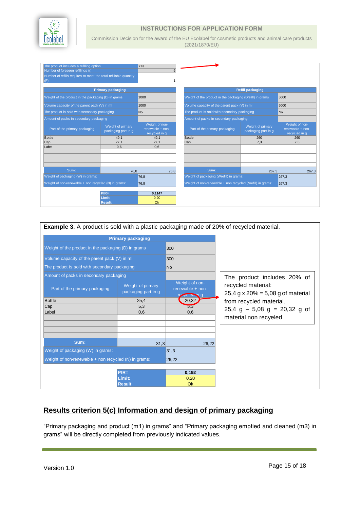

Commission Decision for the award of the EU Ecolabel for cosmetic products and animal care products (2021/1870/EU)

| The product includes a refilling option<br>Number of foreseen refillings (r)<br>Number of refills requires to meet the total refillable quantity |                                          | Yes<br>5                                              |                                                            |                                          |                                                     |
|--------------------------------------------------------------------------------------------------------------------------------------------------|------------------------------------------|-------------------------------------------------------|------------------------------------------------------------|------------------------------------------|-----------------------------------------------------|
| (F)                                                                                                                                              |                                          | 1                                                     |                                                            |                                          |                                                     |
|                                                                                                                                                  | <b>Primary packaging</b>                 |                                                       |                                                            | <b>Refill packaging</b>                  |                                                     |
| Weight of the product in the packaging (D) in grams                                                                                              |                                          | 1000                                                  | Weight of the product in the packaging (Drefill) in grams  |                                          | 5000                                                |
| Volume capacity of the parent pack (V) in ml                                                                                                     |                                          | 1000                                                  | Volume capacity of the parent pack (V) in ml               |                                          | 5000                                                |
| The product is sold with secondary packaging                                                                                                     |                                          | N <sub>o</sub>                                        | The product is sold with secondary packaging               |                                          | No.                                                 |
| Amount of packs in secondary packaging                                                                                                           |                                          |                                                       | Amount of packs in secondary packaging                     |                                          |                                                     |
| Part of the primary packaging                                                                                                                    | Weight of primary<br>packaging part in g | Weight of non-<br>$renewable + non-$<br>recycled in q | Part of the primary packaging                              | Weight of primary<br>packaging part in g | Weight of non-<br>renewable + non-<br>recycled in q |
| Bottle                                                                                                                                           | 49.1                                     | 49.1                                                  | <b>Bottle</b>                                              | 260                                      | 260                                                 |
| Cap                                                                                                                                              | 27.1                                     | 27.1                                                  | Cap                                                        | 7.3                                      | 7.3                                                 |
| Label                                                                                                                                            | 0,6                                      | 0,6                                                   |                                                            |                                          |                                                     |
|                                                                                                                                                  |                                          |                                                       |                                                            |                                          |                                                     |
|                                                                                                                                                  |                                          |                                                       |                                                            |                                          |                                                     |
| Sum:                                                                                                                                             | 76.8                                     | 76.8                                                  | Sum:                                                       | 267,3                                    | 267.3                                               |
| Weight of packaging (W) in grams:                                                                                                                |                                          | 76,8                                                  | Weight of packaging (Wrefill) in grams:                    |                                          | 267,3                                               |
| Weight of non-renewable + non recycled (N) in grams:                                                                                             |                                          | 76,8                                                  | Weight of non-renewable + non recycled (Nrefill) in grams: |                                          | 267,3                                               |
|                                                                                                                                                  | $PIR=$                                   | 0.1147                                                |                                                            |                                          |                                                     |
|                                                                                                                                                  | Límit:                                   | 0.20                                                  |                                                            |                                          |                                                     |
|                                                                                                                                                  | <b>Result:</b>                           | Ok                                                    |                                                            |                                          |                                                     |



#### **Results criterion 5(c) Information and design of primary packaging**

"Primary packaging and product (m1) in grams" and "Primary packaging emptied and cleaned (m3) in grams" will be directly completed from previously indicated values.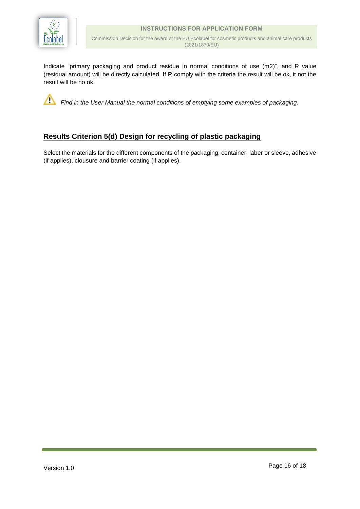

Commission Decision for the award of the EU Ecolabel for cosmetic products and animal care products (2021/1870/EU)

Indicate "primary packaging and product residue in normal conditions of use (m2)", and R value (residual amount) will be directly calculated. If R comply with the criteria the result will be ok, it not the result will be no ok.

*Find in the User Manual the normal conditions of emptying some examples of packaging.*

#### **Results Criterion 5(d) Design for recycling of plastic packaging**

Select the materials for the different components of the packaging: container, laber or sleeve, adhesive (if applies), clousure and barrier coating (if applies).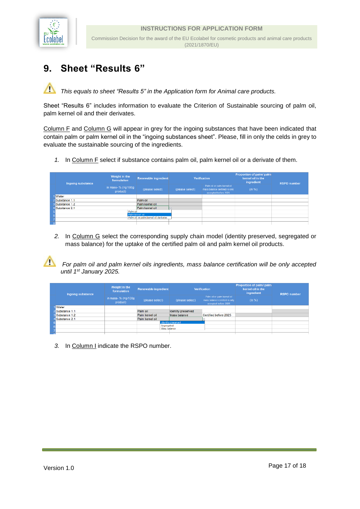

 $\sqrt{2}$ 

## <span id="page-17-0"></span>**9. Sheet "Results 6"**

Λ *This equals to sheet "Results 5" in the Application form for Animal care products.*

Sheet "Results 6" includes information to evaluate the Criterion of Sustainable sourcing of palm oil, palm kernel oil and their derivates.

Column F and Column G will appear in grey for the ingoing substances that have been indicated that contain palm or palm kernel oil in the "ingoing substances sheet". Please, fill in only the celds in grey to evaluate the sustainable sourcing of the ingredients.

*1.* In Column F select if substance contains palm oil, palm kernel oil or a derivate of them.

|  | Ingoing substance      | Weight in the<br>formulation                             | <b>Renewable ingredient</b> | <b>Verification</b> |                                                                                        | Proportion of palm/ palm<br>kernel oil in the<br>ingredient | <b>RSPO</b> number |
|--|------------------------|----------------------------------------------------------|-----------------------------|---------------------|----------------------------------------------------------------------------------------|-------------------------------------------------------------|--------------------|
|  |                        | in mass- $% (=g/100g)$<br>product)                       | (please select)             | (please select)     | Palm oil or palm kernel oil<br>mass balance certified is only.<br>accepted before 2025 | (in %)                                                      |                    |
|  | <b>Water</b>           |                                                          |                             |                     |                                                                                        |                                                             |                    |
|  | 2 Substance 1.1        |                                                          | Palm oil                    |                     |                                                                                        |                                                             |                    |
|  | <b>3</b> Substance 1.2 |                                                          | Palm kernel oil             |                     |                                                                                        |                                                             |                    |
|  | 4 Substance 2.1        |                                                          | Palm kernel oil             | Ŀ                   |                                                                                        |                                                             |                    |
|  |                        | Palm oil                                                 |                             |                     |                                                                                        |                                                             |                    |
|  |                        | Palm kernel oil<br>Palm oil or palm kernel oil derivates |                             |                     |                                                                                        |                                                             |                    |
|  |                        |                                                          |                             |                     |                                                                                        |                                                             |                    |

*2.* In Column G select the corresponding supply chain model (identity preserved, segregated or mass balance) for the uptake of the certified palm oil and palm kernel oil products.

*For palm oil and palm kernel oils ingredients, mass balance certification will be only accepted until 1st January 2025.*

|  | Ingoing substance | Weight in the<br>formulation    | <b>Renewable ingredient</b> | <b>Verification</b> |                                                                                        | Proportion of palm/ palm<br>kernel oil in the<br>ingredient | <b>RSPO</b> number |
|--|-------------------|---------------------------------|-----------------------------|---------------------|----------------------------------------------------------------------------------------|-------------------------------------------------------------|--------------------|
|  |                   | in mass- % (=q/100g<br>product) | (please select)             | (please select)     | Palm oil or palm kernel oil<br>mass balance certified is only-<br>sccepted before 2025 | (in %)                                                      |                    |
|  | Water             |                                 |                             |                     |                                                                                        |                                                             |                    |
|  | Substance 1.1     |                                 | Palm oil                    | Identity preserved  |                                                                                        |                                                             |                    |
|  | Substance 1.2     |                                 | Palm kernel oil             | Mass balance        | Certified before 2025                                                                  |                                                             |                    |
|  | Substance 2.1     |                                 | Palm kernel oil             |                     |                                                                                        |                                                             |                    |
|  |                   |                                 |                             | Identity preserved  |                                                                                        |                                                             |                    |
|  |                   |                                 | Segregated<br>Mass balance  |                     |                                                                                        |                                                             |                    |

*3.* In Column I indicate the RSPO number.